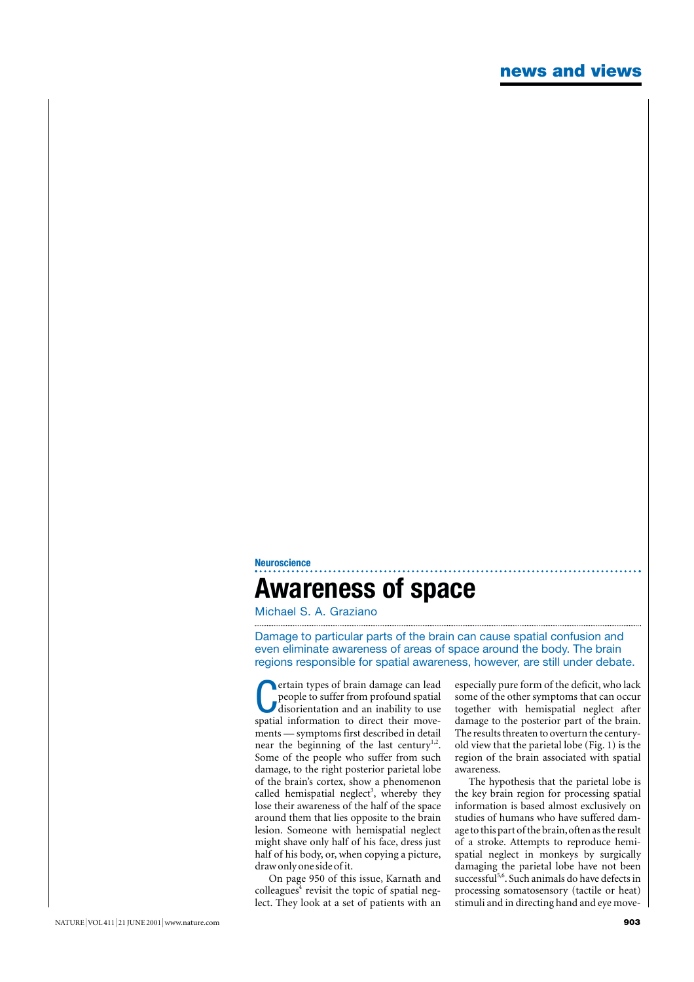## **Neuroscience Awareness of space**

Michael S. A. Graziano

Damage to particular parts of the brain can cause spatial confusion and even eliminate awareness of areas of space around the body. The brain regions responsible for spatial awareness, however, are still under debate.

**C** ertain types of brain damage can lead people to suffer from profound spatial disorientation and an inability to use spatial information to direct their moveertain types of brain damage can lead people to suffer from profound spatial disorientation and an inability to use ments — symptoms first described in detail near the beginning of the last century<sup>1,2</sup>. Some of the people who suffer from such damage, to the right posterior parietal lobe of the brain's cortex, show a phenomenon called hemispatial neglect<sup>3</sup>, whereby they lose their awareness of the half of the space around them that lies opposite to the brain lesion. Someone with hemispatial neglect might shave only half of his face, dress just half of his body, or, when copying a picture, draw only one side of it.

On page 950 of this issue, Karnath and  $\text{colle}$ egues<sup>4</sup> revisit the topic of spatial neglect. They look at a set of patients with an especially pure form of the deficit, who lack some of the other symptoms that can occur together with hemispatial neglect after damage to the posterior part of the brain. The results threaten to overturn the centuryold view that the parietal lobe (Fig. 1) is the region of the brain associated with spatial awareness.

The hypothesis that the parietal lobe is the key brain region for processing spatial information is based almost exclusively on studies of humans who have suffered damage to this part of the brain,often as the result of a stroke. Attempts to reproduce hemispatial neglect in monkeys by surgically damaging the parietal lobe have not been successful<sup>5,6</sup>. Such animals do have defects in processing somatosensory (tactile or heat) stimuli and in directing hand and eye move-